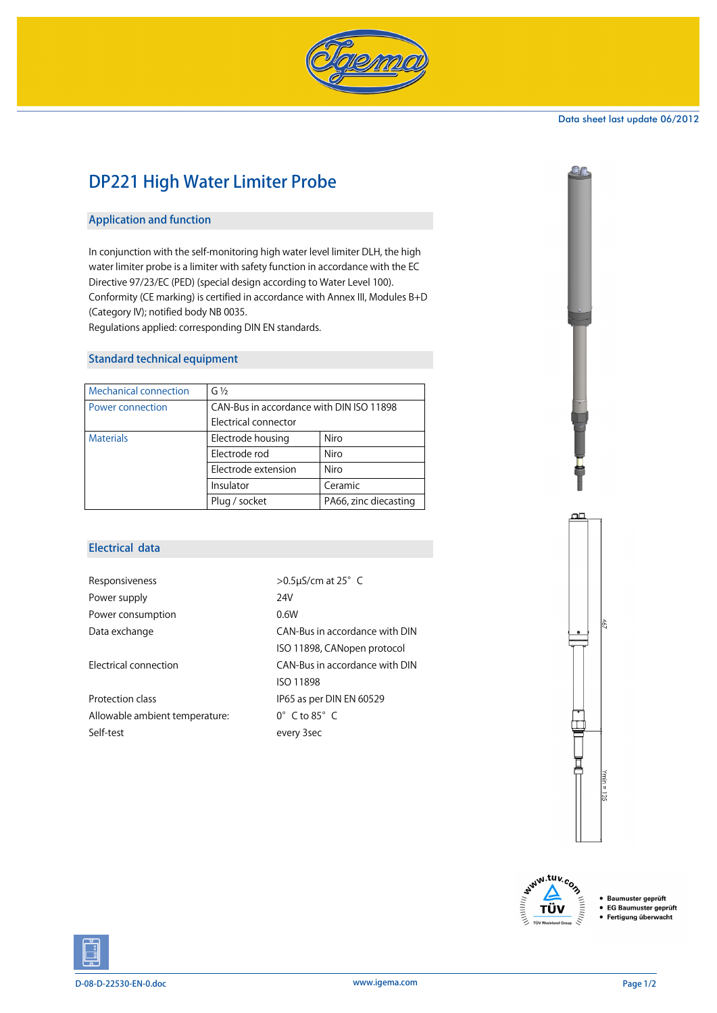

#### Data sheet last update 06/2012

# DP221 High Water Limiter Probe

# Application and function

In conjunction with the self-monitoring high water level limiter DLH, the high water limiter probe is a limiter with safety function in accordance with the EC Directive 97/23/EC (PED) (special design according to Water Level 100). Conformity (CE marking) is certified in accordance with Annex III, Modules B+D (Category IV); notified body NB 0035. Regulations applied: corresponding DIN EN standards.

# Standard technical equipment

| <b>Mechanical connection</b> | $G\frac{1}{2}$                           |                       |  |
|------------------------------|------------------------------------------|-----------------------|--|
| Power connection             | CAN-Bus in accordance with DIN ISO 11898 |                       |  |
|                              | Electrical connector                     |                       |  |
| <b>Materials</b>             | Electrode housing                        | Niro                  |  |
|                              | Electrode rod                            | Niro                  |  |
|                              | Electrode extension                      | Niro                  |  |
|                              | Insulator                                | Ceramic               |  |
|                              | Plug / socket                            | PA66, zinc diecasting |  |

# Electrical data

| Responsiveness                 | $>0.5$ µS/cm at 25° C            |
|--------------------------------|----------------------------------|
| Power supply                   | 24V                              |
| Power consumption              | 0.6W                             |
| Data exchange                  | CAN-Bus in accordance with DIN   |
|                                | ISO 11898, CANopen protocol      |
| Electrical connection          | CAN-Bus in accordance with DIN   |
|                                | <b>ISO 11898</b>                 |
| Protection class               | IP65 as per DIN EN 60529         |
| Allowable ambient temperature: | $0^{\circ}$ C to 85 $^{\circ}$ C |
| Self-test                      | every 3sec                       |
|                                |                                  |





Baumuster geprüft • EG Baumuster geprüft Fertigung überwacht